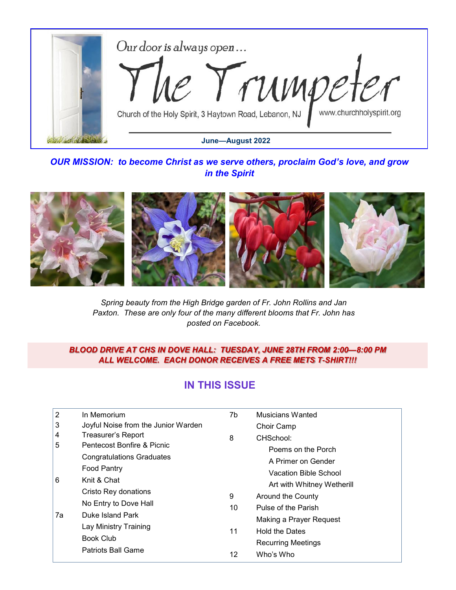

*OUR MISSION: to become Christ as we serve others, proclaim God's love, and grow in the Spirit*



*Spring beauty from the High Bridge garden of Fr. John Rollins and Jan Paxton. These are only four of the many different blooms that Fr. John has posted on Facebook.*

#### *BLOOD DRIVE AT CHS IN DOVE HALL: TUESDAY, JUNE 28TH FROM 2:00—8:00 PM ALL WELCOME. EACH DONOR RECEIVES A FREE METS T-SHIRT!!!*

# **IN THIS ISSUE**

| $\overline{2}$ | In Memorium                                                                                            | 7b      | Musicians Wanted           |  |  |
|----------------|--------------------------------------------------------------------------------------------------------|---------|----------------------------|--|--|
| 3              | Joyful Noise from the Junior Warden                                                                    |         | Choir Camp                 |  |  |
| 4              | Treasurer's Report                                                                                     | 8       | CHSchool:                  |  |  |
| 5              | Pentecost Bonfire & Picnic                                                                             |         | Poems on the Porch         |  |  |
|                | <b>Congratulations Graduates</b>                                                                       |         | A Primer on Gender         |  |  |
| 6<br>7a        | <b>Food Pantry</b><br>Knit & Chat<br>Cristo Rey donations<br>No Entry to Dove Hall<br>Duke Island Park | 9<br>10 | Vacation Bible School      |  |  |
|                |                                                                                                        |         | Art with Whitney Wetherill |  |  |
|                |                                                                                                        |         |                            |  |  |
|                |                                                                                                        |         | Around the County          |  |  |
|                |                                                                                                        |         | Pulse of the Parish        |  |  |
|                |                                                                                                        |         | Making a Prayer Request    |  |  |
|                | Lay Ministry Training                                                                                  | 11      | <b>Hold the Dates</b>      |  |  |
|                | <b>Book Club</b><br><b>Patriots Ball Game</b>                                                          |         | <b>Recurring Meetings</b>  |  |  |
|                |                                                                                                        | 12      | Who's Who                  |  |  |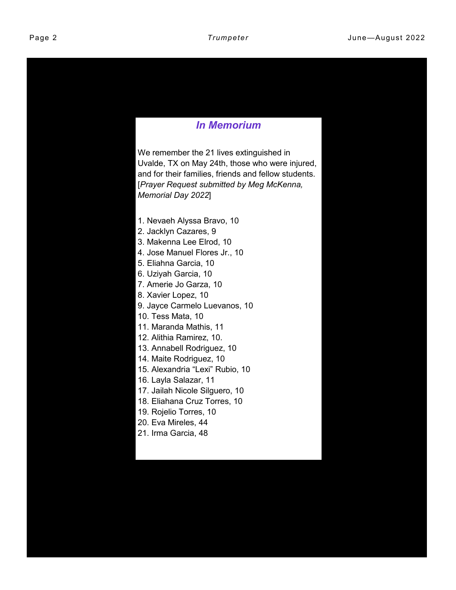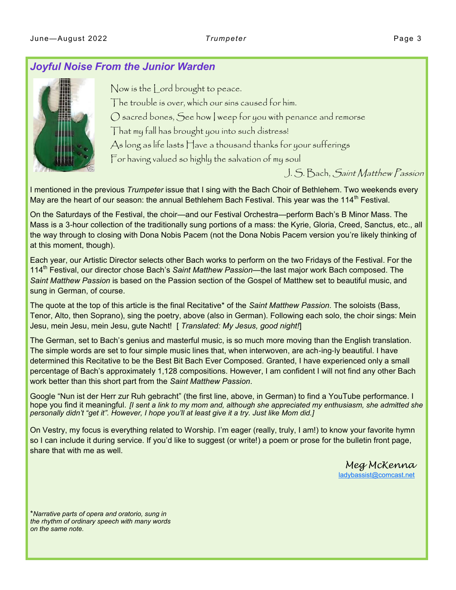#### *Joyful Noise From the Junior Warden*



Now is the Lord brought to peace. The trouble is over, which our sins caused for him. O sacred bones, See how I weep for you with penance and remorse That my fall has brought you into such distress! As long as life lasts Have a thousand thanks for your sufferings For having valued so highly the salvation of my soul

J. S. Bach, Saint Matthew Passion

I mentioned in the previous *Trumpeter* issue that I sing with the Bach Choir of Bethlehem. Two weekends every May are the heart of our season: the annual Bethlehem Bach Festival. This year was the 114<sup>th</sup> Festival.

On the Saturdays of the Festival, the choir—and our Festival Orchestra—perform Bach's B Minor Mass. The Mass is a 3-hour collection of the traditionally sung portions of a mass: the Kyrie, Gloria, Creed, Sanctus, etc., all the way through to closing with Dona Nobis Pacem (not the Dona Nobis Pacem version you're likely thinking of at this moment, though).

Each year, our Artistic Director selects other Bach works to perform on the two Fridays of the Festival. For the 114th Festival, our director chose Bach's *Saint Matthew Passion*—the last major work Bach composed. The *Saint Matthew Passion* is based on the Passion section of the Gospel of Matthew set to beautiful music, and sung in German, of course.

The quote at the top of this article is the final Recitative\* of the *Saint Matthew Passion*. The soloists (Bass, Tenor, Alto, then Soprano), sing the poetry, above (also in German). Following each solo, the choir sings: Mein Jesu, mein Jesu, mein Jesu, gute Nacht! [ *Translated: My Jesus, good night!*]

The German, set to Bach's genius and masterful music, is so much more moving than the English translation. The simple words are set to four simple music lines that, when interwoven, are ach-ing-ly beautiful. I have determined this Recitative to be the Best Bit Bach Ever Composed. Granted, I have experienced only a small percentage of Bach's approximately 1,128 compositions. However, I am confident I will not find any other Bach work better than this short part from the *Saint Matthew Passion*.

Google "Nun ist der Herr zur Ruh gebracht" (the first line, above, in German) to find a YouTube performance. I hope you find it meaningful. *[I sent a link to my mom and, although she appreciated my enthusiasm, she admitted she personally didn't "get it". However, I hope you'll at least give it a try. Just like Mom did.]*

On Vestry, my focus is everything related to Worship. I'm eager (really, truly, I am!) to know your favorite hymn so I can include it during service. If you'd like to suggest (or write!) a poem or prose for the bulletin front page, share that with me as well*.* 

> *Meg McKenna* [ladybassist@comcast.net](mailto:ladybassist@comcast.net)

\**Narrative parts of opera and oratorio, sung in the rhythm of ordinary speech with many words on the same note.*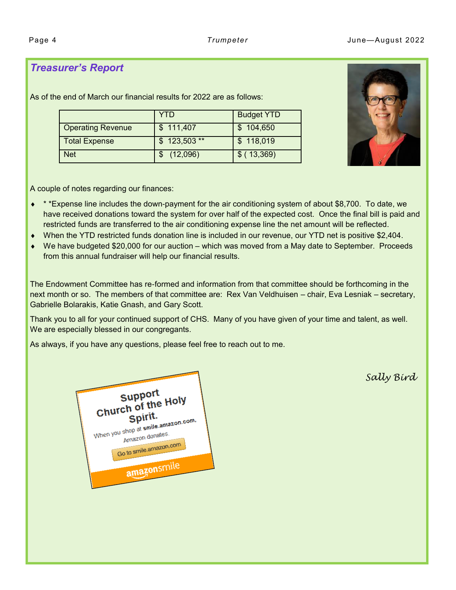## *Treasurer's Report*

As of the end of March our financial results for 2022 are as follows:

|                          | YTD           | <b>Budget YTD</b> |
|--------------------------|---------------|-------------------|
| <b>Operating Revenue</b> | \$111,407     | \$104,650         |
| <b>Total Expense</b>     | $$123,503$ ** | \$118,019         |
| <b>Net</b>               | (12,096)      | $$$ (13,369)      |



A couple of notes regarding our finances:

- \* \*Expense line includes the down-payment for the air conditioning system of about \$8,700. To date, we have received donations toward the system for over half of the expected cost. Once the final bill is paid and restricted funds are transferred to the air conditioning expense line the net amount will be reflected.
- When the YTD restricted funds donation line is included in our revenue, our YTD net is positive \$2,404.
- We have budgeted \$20,000 for our auction which was moved from a May date to September. Proceeds from this annual fundraiser will help our financial results.

The Endowment Committee has re-formed and information from that committee should be forthcoming in the next month or so. The members of that committee are: Rex Van Veldhuisen – chair, Eva Lesniak – secretary, Gabrielle Bolarakis, Katie Gnash, and Gary Scott.

Thank you to all for your continued support of CHS. Many of you have given of your time and talent, as well. We are especially blessed in our congregants.

As always, if you have any questions, please feel free to reach out to me.



*Sally Bird*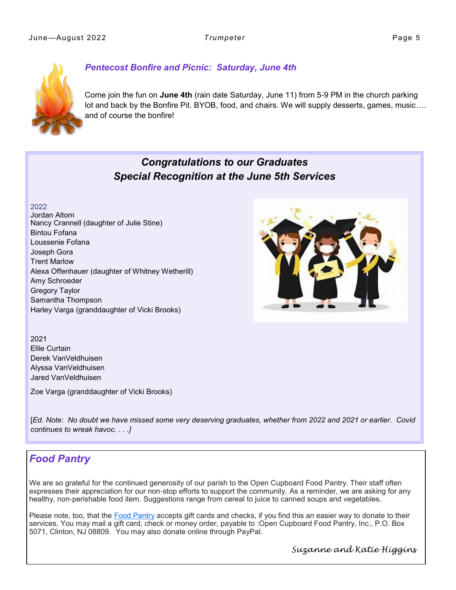

#### *Pentecost Bonfire and Picnic: Saturday, June 4th*

Come join the fun on **June 4th** (rain date Saturday, June 11) from 5-9 PM in the church parking lot and back by the Bonfire Pit. BYOB, food, and chairs. We will supply desserts, games, music…. and of course the bonfire!

# *Congratulations to our Graduates Special Recognition at the June 5th Services*



2022 Jordan Altom Nancy Crannell (daughter of Julie Stine) Bintou Fofana Loussenie Fofana Joseph Gora Trent Marlow Alexa Offenhauer (daughter of Whitney Wetherill) Amy Schroeder Gregory Taylor Samantha Thompson Harley Varga (granddaughter of Vicki Brooks)

2021 Ellie Curtain Derek VanVeldhuisen Alyssa VanVeldhuisen Jared VanVeldhuisen

Zoe Varga (granddaughter of Vicki Brooks)

[*Ed. Note: No doubt we have missed some very deserving graduates, whether from 2022 and 2021 or earlier. Covid continues to wreak havoc. . . .]*

## *Food Pantry*

We are so grateful for the continued generosity of our parish to the Open Cupboard Food Pantry. Their staff often expresses their appreciation for our non-stop efforts to support the community. As a reminder, we are asking for any healthy, non-perishable food item. Suggestions range from cereal to juice to canned soups and vegetables.

Please note, too, that the [Food Pantry](https://r20.rs6.net/tn.jsp?f=001XAztvKXjaLm4FJty3s0yc1cvskyvasmYK7L7sHEqBegsBpqWeSZNhUSbFuCTfI4LwWUfxIIJe1TtfsniPl1AGdjkykjSfaJSd9Eu8l5_UXGsdTfyhxpv7s0QmqfQBBWisSh5KqhdxGxIZciC9yKT2ZytZlOBCVB1eJ5vemA-hsDzgVGQXDBE7Q==&c=73bFJfihuWSw5kbuasgrcNWj1F5YA42TI5QFKdMf) accepts gift cards and checks, if you find this an easier way to donate to their services. You may mail a gift card, check or money order, payable to :Open Cupboard Food Pantry, Inc., P.O. Box 5071, Clinton, NJ 08809. You may also donate online through PayPal.

*Suzanne and Katie Higgins*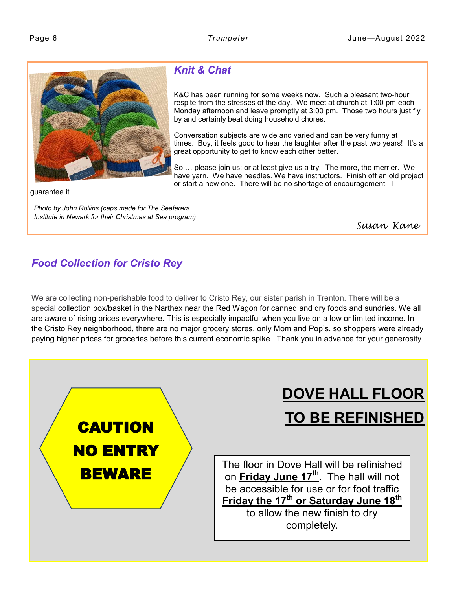<span id="page-5-0"></span>

# *Knit & Chat*

K&C has been running for some weeks now. Such a pleasant two-hour respite from the stresses of the day. We meet at church at 1:00 pm each Monday afternoon and leave promptly at 3:00 pm. Those two hours just fly by and certainly beat doing household chores.

Conversation subjects are wide and varied and can be very funny at times. Boy, it feels good to hear the laughter after the past two years! It's a great opportunity to get to know each other better.

So … please join us; or at least give us a try. The more, the merrier. We have yarn. We have needles. We have instructors. Finish off an old project or start a new one. There will be no shortage of encouragement - I

guarantee it.

*Photo by John Rollins (caps made for The Seafarers Institute in Newark for their Christmas at Sea program)*

*Susan Kane* 

# *Food Collection for Cristo Rey*

We are collecting non-perishable food to deliver to Cristo Rey, our sister parish in Trenton. There will be a special collection box/basket in the Narthex near the Red Wagon for canned and dry foods and sundries. We all are aware of rising prices everywhere. This is especially impactful when you live on a low or limited income. In the Cristo Rey neighborhood, there are no major grocery stores, only Mom and Pop's, so shoppers were already paying higher prices for groceries before this current economic spike. Thank you in advance for your generosity.



# **DOVE HALL FLOOR TO BE REFINISHED**

The floor in Dove Hall will be refinished on **Friday June 17th**. The hall will not be accessible for use or for foot traffic **Friday the 17th or Saturday June 18th** to allow the new finish to dry

completely.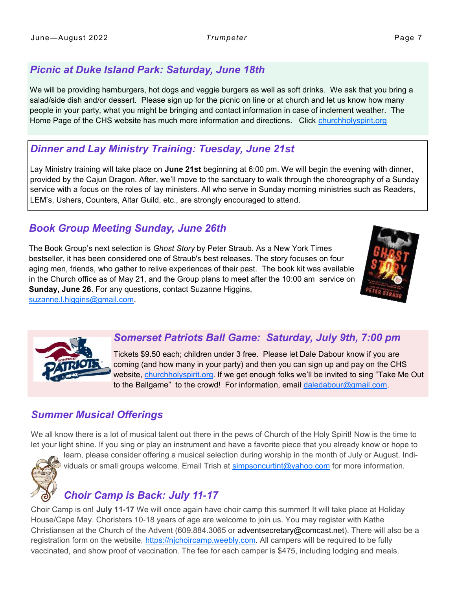# *Picnic at Duke Island Park: Saturday, June 18th*

We will be providing hamburgers, hot dogs and veggie burgers as well as soft drinks. We ask that you bring a salad/side dish and/or dessert. Please sign up for the picnic on line or at church and let us know how many people in your party, what you might be bringing and contact information in case of inclement weather. The Home Page of the CHS website has much more information and directions. Click <churchholyspirit.org>

# *Dinner and Lay Ministry Training: Tuesday, June 21st*

Lay Ministry training will take place on **June 21st** beginning at 6:00 pm. We will begin the evening with dinner, provided by the Cajun Dragon. After, we'll move to the sanctuary to walk through the choreography of a Sunday service with a focus on the roles of lay ministers. All who serve in Sunday morning ministries such as Readers, LEM's, Ushers, Counters, Altar Guild, etc., are strongly encouraged to attend.

# *Book Group Meeting Sunday, June 26th*

The Book Group's next selection is *Ghost Story* by Peter Straub. As a New York Times bestseller, it has been considered one of Straub's best releases. The story focuses on four aging men, friends, who gather to relive experiences of their past. The book kit was available in the Church office as of May 21, and the Group plans to meet after the 10:00 am service on **Sunday, June 26**. For any questions, contact Suzanne Higgins,



## *Somerset Patriots Ball Game: Saturday, July 9th, 7:00 pm*

Tickets \$9.50 each; children under 3 free. Please let Dale Dabour know if you are coming (and how many in your party) and then you can sign up and pay on the CHS website, [churchholyspirit.org.](churchholyspirit.org) If we get enough folks we'll be invited to sing "Take Me Out to the Ballgame" to the crowd! For information, email [daledabour@gmail.com.](mailto:daledabour@gmail.com)

# *Summer Musical Offerings*

We all know there is a lot of musical talent out there in the pews of Church of the Holy Spirit! Now is the time to let your light shine. If you sing or play an instrument and have a favorite piece that you already know or hope to



learn, please consider offering a musical selection during worship in the month of July or August. Individuals or small groups welcome. Email Trish at [simpsoncurtint@yahoo.com](mailto:simpsoncurtint@yahoo.com) for more information.

# *Choir Camp is Back: July 11-17*

Choir Camp is on! **July 11-17** We will once again have choir camp this summer! It will take place at Holiday House/Cape May. Choristers 10-18 years of age are welcome to join us. You may register with Kathe Christiansen at the Church of the Advent (609.884.3065 or adventsecretary@comcast.net). There will also be a registration form on the website, [https://njchoircamp.weebly.com.](mailto:adventsecretary@comcast.net) All campers will be required to be fully vaccinated, and show proof of vaccination. The fee for each camper is \$475, including lodging and meals.

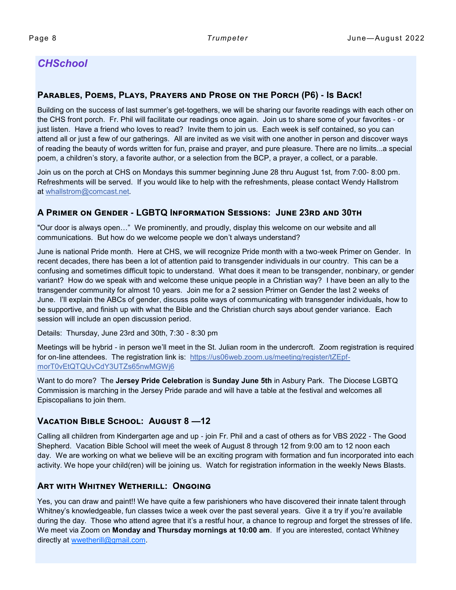## *CHSchool*

#### **Parables, Poems, Plays, Prayers and Prose on the Porch (P6) - Is Back!**

Building on the success of last summer's get-togethers, we will be sharing our favorite readings with each other on the CHS front porch. Fr. Phil will facilitate our readings once again. Join us to share some of your favorites - or just listen. Have a friend who loves to read? Invite them to join us. Each week is self contained, so you can attend all or just a few of our gatherings. All are invited as we visit with one another in person and discover ways of reading the beauty of words written for fun, praise and prayer, and pure pleasure. There are no limits...a special poem, a children's story, a favorite author, or a selection from the BCP, a prayer, a collect, or a parable.

Join us on the porch at CHS on Mondays this summer beginning June 28 thru August 1st, from 7:00- 8:00 pm. Refreshments will be served. If you would like to help with the refreshments, please contact Wendy Hallstrom at [whallstrom@comcast.net.](mailto:whallstrom@comcast.net)

#### **A Primer on Gender - LGBTQ Information Sessions: June 23rd and 30th**

"Our door is always open…" We prominently, and proudly, display this welcome on our website and all communications. But how do we welcome people we don't always understand?

June is national Pride month. Here at CHS, we will recognize Pride month with a two-week Primer on Gender. In recent decades, there has been a lot of attention paid to transgender individuals in our country. This can be a confusing and sometimes difficult topic to understand. What does it mean to be transgender, nonbinary, or gender variant? How do we speak with and welcome these unique people in a Christian way? I have been an ally to the transgender community for almost 10 years. Join me for a 2 session Primer on Gender the last 2 weeks of June. I'll explain the ABCs of gender, discuss polite ways of communicating with transgender individuals, how to be supportive, and finish up with what the Bible and the Christian church says about gender variance. Each session will include an open discussion period.

Details: Thursday, June 23rd and 30th, 7:30 - 8:30 pm

Meetings will be hybrid - in person we'll meet in the St. Julian room in the undercroft. Zoom registration is required for on-line attendees. The registration link is: [https://us06web.zoom.us/meeting/register/tZEpf](https://us06web.zoom.us/meeting/register/tZEpf-morT0vEtQTQUvCdY3UTZs65nwMGWj6)[morT0vEtQTQUvCdY3UTZs65nwMGWj6](https://us06web.zoom.us/meeting/register/tZEpf-morT0vEtQTQUvCdY3UTZs65nwMGWj6) 

Want to do more? The **Jersey Pride Celebration** is **Sunday June 5th** in Asbury Park. The Diocese LGBTQ Commission is marching in the Jersey Pride parade and will have a table at the festival and welcomes all Episcopalians to join them.

#### **Vacation Bible School: August 8 —12**

Calling all children from Kindergarten age and up - join Fr. Phil and a cast of others as for VBS 2022 - The Good Shepherd. Vacation Bible School will meet the week of August 8 through 12 from 9:00 am to 12 noon each day. We are working on what we believe will be an exciting program with formation and fun incorporated into each activity. We hope your child(ren) will be joining us. Watch for registration information in the weekly News Blasts.

#### **Art with Whitney Wetherill: Ongoing**

Yes, you can draw and paint!! We have quite a few parishioners who have discovered their innate talent through Whitney's knowledgeable, fun classes twice a week over the past several years. Give it a try if you're available during the day. Those who attend agree that it's a restful hour, a chance to regroup and forget the stresses of life. We meet via Zoom on **Monday and Thursday mornings at 10:00 am**. If you are interested, contact Whitney directly at [wwetherill@gmail.com.](mailto:wwetherill@gmail.com)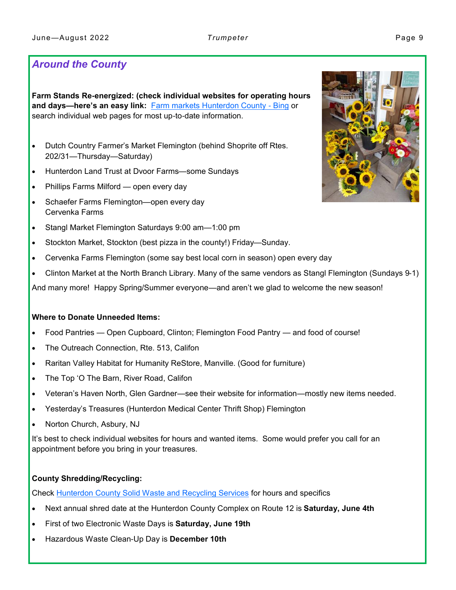## *Around the County*

**Farm Stands Re-energized: (check individual websites for operating hours and days—here's an easy link:** [Farm markets Hunterdon County -](https://www.bing.com/search?q=Farm+markets+Hunterdon+County&cvid=befdbc17a9f04b20b6a02cb2af94b859&aqs=edge..69i57.7320j0j1&pglt=43&FORM=ANNTA1&PC=U531) Bing or search individual web pages for most up-to-date information.

- Dutch Country Farmer's Market Flemington (behind Shoprite off Rtes. 202/31—Thursday—Saturday)
- Hunterdon Land Trust at Dvoor Farms—some Sundays
- Phillips Farms Milford open every day
- Schaefer Farms Flemington—open every day Cervenka Farms
- Stangl Market Flemington Saturdays 9:00 am—1:00 pm
- Stockton Market, Stockton (best pizza in the county!) Friday—Sunday.
- Cervenka Farms Flemington (some say best local corn in season) open every day
- Clinton Market at the North Branch Library. Many of the same vendors as Stangl Flemington (Sundays 9-1)

And many more! Happy Spring/Summer everyone—and aren't we glad to welcome the new season!

#### **Where to Donate Unneeded Items:**

- Food Pantries Open Cupboard, Clinton; Flemington Food Pantry and food of course!
- The Outreach Connection, Rte. 513, Califon
- Raritan Valley Habitat for Humanity ReStore, Manville. (Good for furniture)
- The Top 'O The Barn, River Road, Califon
- Veteran's Haven North, Glen Gardner—see their website for information—mostly new items needed.
- Yesterday's Treasures (Hunterdon Medical Center Thrift Shop) Flemington
- Norton Church, Asbury, NJ

It's best to check individual websites for hours and wanted items. Some would prefer you call for an appointment before you bring in your treasures.

#### **County Shredding/Recycling:**

Check [Hunterdon County Solid Waste and Recycling Services](https://www.co.hunterdon.nj.us/recycling.html) for hours and specifics

- Next annual shred date at the Hunterdon County Complex on Route 12 is **Saturday, June 4th**
- First of two Electronic Waste Days is **Saturday, June 19th**
- Hazardous Waste Clean-Up Day is **December 10th**

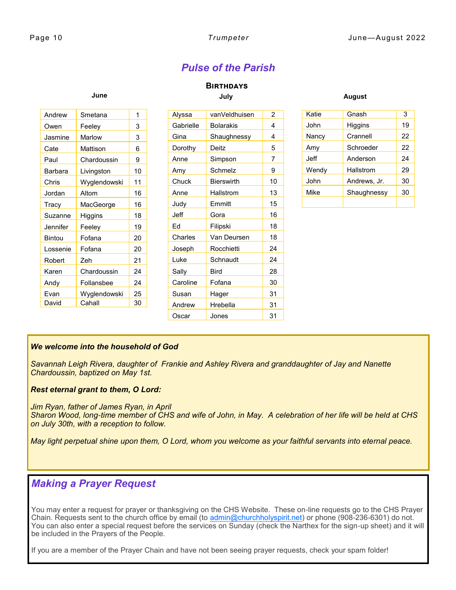# *Pulse of the Parish*

#### **Birthdays July**

| Andrew         | Smetana       | 1  | Alyssa    | vanVeldhuisen     | 2              | Katie |
|----------------|---------------|----|-----------|-------------------|----------------|-------|
| Owen           | Feeley        | 3  | Gabrielle | <b>Bolarakis</b>  | 4              | John  |
| Jasmine        | <b>Marlow</b> | 3  | Gina      | Shaughnessy       | 4              | Nancy |
| Cate           | Mattison      | 6  | Dorothy   | Deitz             | 5              | Amy   |
| Paul           | Chardoussin   | 9  | Anne      | Simpson           | $\overline{7}$ | Jeff  |
| <b>Barbara</b> | Livingston    | 10 | Amy       | Schmelz           | 9              | Wendy |
| Chris          | Wyglendowski  | 11 | Chuck     | <b>Bierswirth</b> | 10             | John  |
| Jordan         | Altom         | 16 | Anne      | <b>Hallstrom</b>  | 13             | Mike  |
| Tracy          | MacGeorge     | 16 | Judy      | Emmitt            | 15             |       |
| Suzanne        | Higgins       | 18 | Jeff      | Gora              | 16             |       |
| Jennifer       | Feeley        | 19 | Ed        | Filipski          | 18             |       |
| <b>Bintou</b>  | Fofana        | 20 | Charles   | Van Deursen       | 18             |       |
| Lossenie       | Fofana        | 20 | Joseph    | Rocchietti        | 24             |       |
| Robert         | Zeh           | 21 | Luke      | Schnaudt          | 24             |       |
| Karen          | Chardoussin   | 24 | Sally     | <b>Bird</b>       | 28             |       |
| Andy           | Follansbee    | 24 | Caroline  | Fofana            | 30             |       |
| Evan           | Wyglendowski  | 25 | Susan     | Hager             | 31             |       |
| David          | Cahall        | 30 | Andrew    | Hrebella          | 31             |       |

**August**

| Katie | Gnash        | 3  |
|-------|--------------|----|
| John  | Higgins      | 19 |
| Nancy | Crannell     | 22 |
| Amy   | Schroeder    | 22 |
| Jeff  | Anderson     | 24 |
| Wendy | Hallstrom    | 29 |
| John  | Andrews, Jr. | 30 |
| Mike  | Shaughnessy  | 30 |
|       |              |    |

#### *We welcome into the household of God*

**June**

*Savannah Leigh Rivera, daughter of Frankie and Ashley Rivera and granddaughter of Jay and Nanette Chardoussin, baptized on May 1st.*

#### *Rest eternal grant to them, O Lord:*

*Jim Ryan, father of James Ryan, in April Sharon Wood, long-time member of CHS and wife of John, in May. A celebration of her life will be held at CHS on July 30th, with a reception to follow.* 

Oscar Jones | 31

*May light perpetual shine upon them, O Lord, whom you welcome as your faithful servants into eternal peace.* 

#### *Making a Prayer Request*

You may enter a request for prayer or thanksgiving on the CHS Website. These on-line requests go to the CHS Prayer Chain. Requests sent to the church office by email (to [admin@churchholyspirit.net\)](#page-5-0) or phone (908-236-6301) do not. You can also enter a special request before the services on Sunday (check the Narthex for the sign-up sheet) and it will be included in the Prayers of the People.

If you are a member of the Prayer Chain and have not been seeing prayer requests, check your spam folder!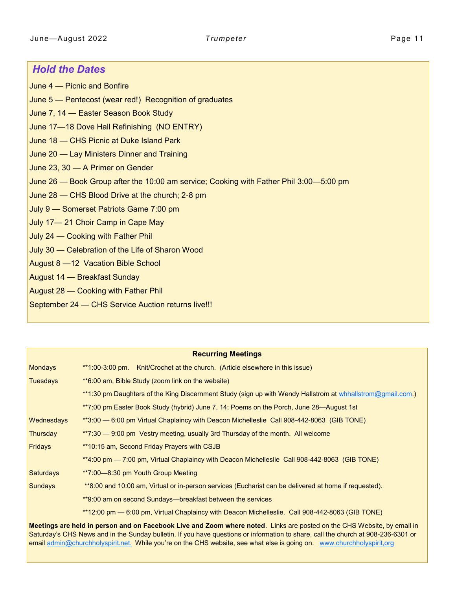#### *Hold the Dates*

June 4 — Picnic and Bonfire

- June 5 Pentecost (wear red!) Recognition of graduates
- June 7, 14 Easter Season Book Study
- June 17—18 Dove Hall Refinishing (NO ENTRY)
- June 18 CHS Picnic at Duke Island Park
- June 20 Lay Ministers Dinner and Training
- June 23, 30 A Primer on Gender
- June 26 Book Group after the 10:00 am service; Cooking with Father Phil 3:00—5:00 pm
- June 28 CHS Blood Drive at the church; 2-8 pm
- July 9 Somerset Patriots Game 7:00 pm
- July 17— 21 Choir Camp in Cape May
- July 24 Cooking with Father Phil
- July 30 Celebration of the Life of Sharon Wood
- August 8 —12 Vacation Bible School
- August 14 Breakfast Sunday
- August 28 Cooking with Father Phil
- September 24 CHS Service Auction returns live!!!

| <b>Recurring Meetings</b> |                                                                                                            |  |  |  |  |
|---------------------------|------------------------------------------------------------------------------------------------------------|--|--|--|--|
| <b>Mondays</b>            | Knit/Crochet at the church. (Article elsewhere in this issue)<br>**1:00-3:00 pm.                           |  |  |  |  |
| <b>Tuesdays</b>           | **6:00 am, Bible Study (zoom link on the website)                                                          |  |  |  |  |
|                           | **1:30 pm Daughters of the King Discernment Study (sign up with Wendy Hallstrom at whhallstrom@gmail.com.) |  |  |  |  |
|                           | **7:00 pm Easter Book Study (hybrid) June 7, 14; Poems on the Porch, June 28—August 1st                    |  |  |  |  |
| Wednesdays                | **3:00 — 6:00 pm Virtual Chaplaincy with Deacon Michelleslie Call 908-442-8063 (GIB TONE)                  |  |  |  |  |
| Thursday                  | **7:30 — 9:00 pm Vestry meeting, usually 3rd Thursday of the month. All welcome                            |  |  |  |  |
| <b>Fridays</b>            | **10:15 am, Second Friday Prayers with CSJB                                                                |  |  |  |  |
|                           | **4:00 pm — 7:00 pm, Virtual Chaplaincy with Deacon Michelleslie Call 908-442-8063 (GIB TONE)              |  |  |  |  |
| <b>Saturdays</b>          | **7:00—8:30 pm Youth Group Meeting                                                                         |  |  |  |  |
| <b>Sundays</b>            | **8:00 and 10:00 am, Virtual or in-person services (Eucharist can be delivered at home if requested).      |  |  |  |  |
|                           | **9:00 am on second Sundays—breakfast between the services                                                 |  |  |  |  |
|                           | **12:00 pm — 6:00 pm, Virtual Chaplaincy with Deacon Michelleslie. Call 908-442-8063 (GIB TONE)            |  |  |  |  |

**Meetings are held in person and on Facebook Live and Zoom where noted**. Links are posted on the CHS Website, by email in Saturday's CHS News and in the Sunday bulletin. If you have questions or information to share, call the church at 908-236-6301 or email [admin@churchholyspirit.net.](mailto:admin@churchholyspirit.net.) While you're on the CHS website, see what else is going on. [www.churchholyspirit,org](http://www.churchholyspirit,org)